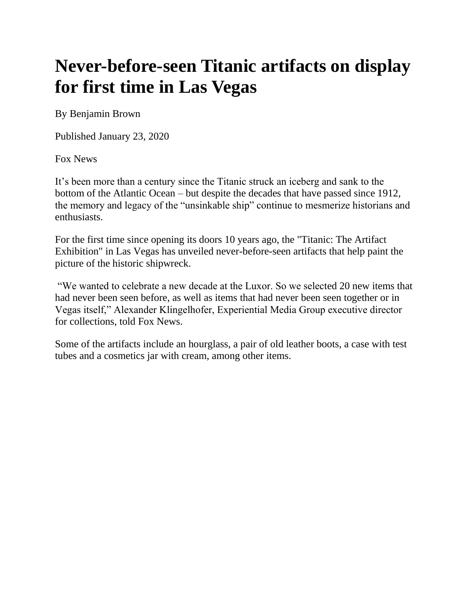## **Never-before-seen Titanic artifacts on display for first time in Las Vegas**

By Benjamin Brown

Published January 23, 2020

[Fox News](http://www.foxnews.com/)

It's been more than a century since the Titanic struck an iceberg and sank to the bottom of the Atlantic Ocean – but despite the decades that have passed since 1912, the memory and legacy of the "unsinkable ship" continue to mesmerize historians and enthusiasts.

For the first time since opening its doors 10 years ago, the "Titanic: The Artifact Exhibition" in Las Vegas has unveiled never-before-seen artifacts that help paint the picture of the historic shipwreck.

"We wanted to celebrate a new decade at the Luxor. So we selected 20 new items that had never been seen before, as well as items that had never been seen together or in Vegas itself," Alexander Klingelhofer, Experiential Media Group executive director for collections, told Fox News.

Some of the artifacts include an hourglass, a pair of old leather boots, a case with test tubes and a cosmetics jar with cream, among other items.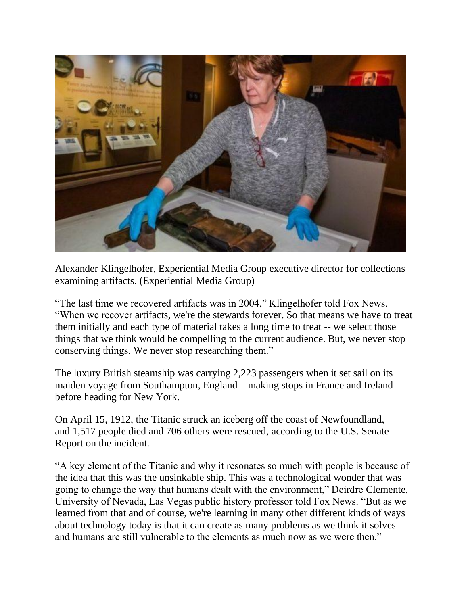

Alexander Klingelhofer, Experiential Media Group executive director for collections examining artifacts. (Experiential Media Group)

"The last time we recovered artifacts was in 2004," Klingelhofer told Fox News. "When we recover artifacts, we're the stewards forever. So that means we have to treat them initially and each type of material takes a long time to treat -- we select those things that we think would be compelling to the current audience. But, we never stop conserving things. We never stop researching them."

The luxury British steamship was carrying 2,223 passengers when it set sail on its maiden voyage from Southampton, England – making stops in France and Ireland before heading for New York.

On April 15, 1912, the Titanic struck an iceberg off the coast of Newfoundland, and 1,517 people died and 706 others were rescued, according to the U.S. Senate Report on the incident.

"A key element of the Titanic and why it resonates so much with people is because of the idea that this was the unsinkable ship. This was a technological wonder that was going to change the way that humans dealt with the environment," Deirdre Clemente, University of Nevada, Las Vegas public history professor told Fox News. "But as we learned from that and of course, we're learning in many other different kinds of ways about technology today is that it can create as many problems as we think it solves and humans are still vulnerable to the elements as much now as we were then."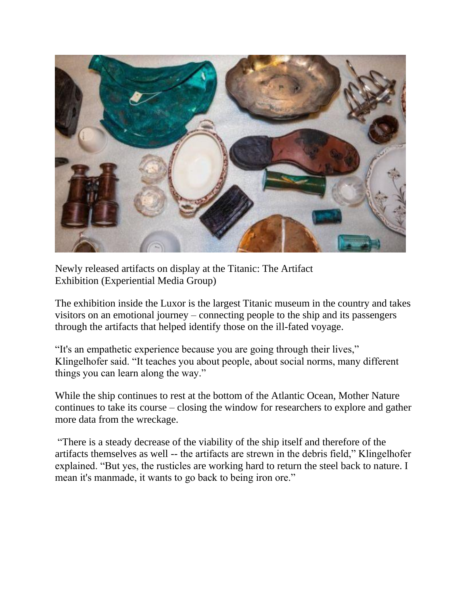

Newly released artifacts on display at the Titanic: The Artifact Exhibition (Experiential Media Group)

The exhibition inside the Luxor is the largest Titanic museum in the country and takes visitors on an emotional journey – connecting people to the ship and its passengers through the artifacts that helped identify those on the ill-fated voyage.

"It's an empathetic experience because you are going through their lives," Klingelhofer said. "It teaches you about people, about social norms, many different things you can learn along the way."

While the ship continues to rest at the bottom of the Atlantic Ocean, Mother Nature continues to take its course – closing the window for researchers to explore and gather more data from the wreckage.

"There is a steady decrease of the viability of the ship itself and therefore of the artifacts themselves as well -- the artifacts are strewn in the debris field," Klingelhofer explained. "But yes, the rusticles are working hard to return the steel back to nature. I mean it's manmade, it wants to go back to being iron ore."